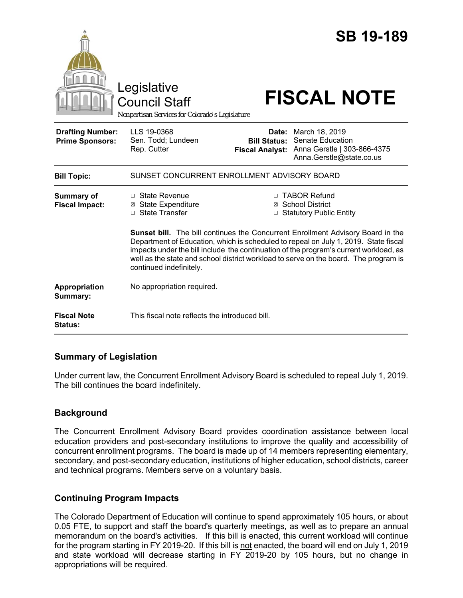|                                                   | Legislative<br><b>Council Staff</b><br>Nonpartisan Services for Colorado's Legislature                                                                                                                                                                                                                                                                                                                                                                                                                                                  |                                                        | <b>SB 19-189</b><br><b>FISCAL NOTE</b>                                                        |
|---------------------------------------------------|-----------------------------------------------------------------------------------------------------------------------------------------------------------------------------------------------------------------------------------------------------------------------------------------------------------------------------------------------------------------------------------------------------------------------------------------------------------------------------------------------------------------------------------------|--------------------------------------------------------|-----------------------------------------------------------------------------------------------|
| <b>Drafting Number:</b><br><b>Prime Sponsors:</b> | LLS 19-0368<br>Sen. Todd; Lundeen<br>Rep. Cutter                                                                                                                                                                                                                                                                                                                                                                                                                                                                                        | Date:<br><b>Bill Status:</b><br><b>Fiscal Analyst:</b> | March 18, 2019<br>Senate Education<br>Anna Gerstle   303-866-4375<br>Anna.Gerstle@state.co.us |
| <b>Bill Topic:</b>                                | SUNSET CONCURRENT ENROLLMENT ADVISORY BOARD                                                                                                                                                                                                                                                                                                                                                                                                                                                                                             |                                                        |                                                                                               |
| <b>Summary of</b><br><b>Fiscal Impact:</b>        | □ TABOR Refund<br>$\Box$ State Revenue<br><b>⊠</b> State Expenditure<br>⊠ School District<br>□ State Transfer<br>□ Statutory Public Entity<br><b>Sunset bill.</b> The bill continues the Concurrent Enrollment Advisory Board in the<br>Department of Education, which is scheduled to repeal on July 1, 2019. State fiscal<br>impacts under the bill include the continuation of the program's current workload, as<br>well as the state and school district workload to serve on the board. The program is<br>continued indefinitely. |                                                        |                                                                                               |
| Appropriation<br>Summary:                         | No appropriation required.                                                                                                                                                                                                                                                                                                                                                                                                                                                                                                              |                                                        |                                                                                               |
| <b>Fiscal Note</b><br>Status:                     | This fiscal note reflects the introduced bill.                                                                                                                                                                                                                                                                                                                                                                                                                                                                                          |                                                        |                                                                                               |

## **Summary of Legislation**

Under current law, the Concurrent Enrollment Advisory Board is scheduled to repeal July 1, 2019. The bill continues the board indefinitely.

# **Background**

The Concurrent Enrollment Advisory Board provides coordination assistance between local education providers and post-secondary institutions to improve the quality and accessibility of concurrent enrollment programs. The board is made up of 14 members representing elementary, secondary, and post-secondary education, institutions of higher education, school districts, career and technical programs. Members serve on a voluntary basis.

## **Continuing Program Impacts**

The Colorado Department of Education will continue to spend approximately 105 hours, or about 0.05 FTE, to support and staff the board's quarterly meetings, as well as to prepare an annual memorandum on the board's activities. If this bill is enacted, this current workload will continue for the program starting in FY 2019-20. If this bill is not enacted, the board will end on July 1, 2019 and state workload will decrease starting in FY 2019-20 by 105 hours, but no change in appropriations will be required.